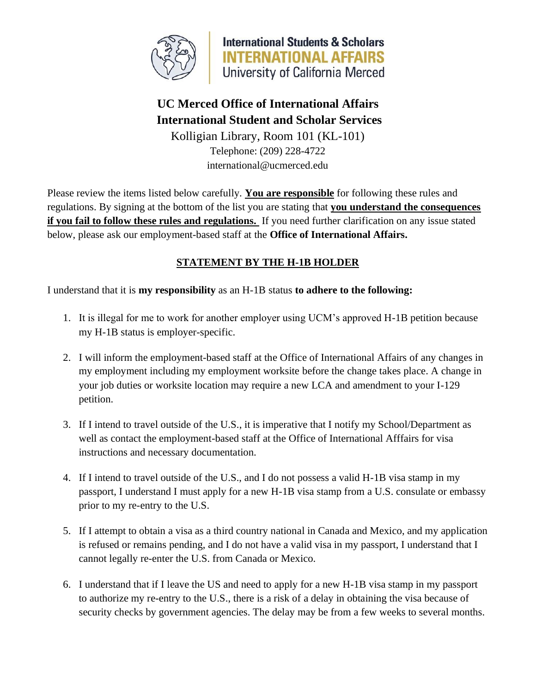

**International Students & Scholars INTERNATIONAL AFFAIRS** University of California Merced

## **UC Merced Office of International Affairs International Student and Scholar Services**

Kolligian Library, Room 101 (KL-101) Telephone: (209) 228-4722 [international@ucmerced.edu](mailto:international@ucmerced.edu)

Please review the items listed below carefully. **You are responsible** for following these rules and regulations. By signing at the bottom of the list you are stating that **you understand the consequences if you fail to follow these rules and regulations.** If you need further clarification on any issue stated below, please ask our employment-based staff at the **Office of International Affairs.**

## **STATEMENT BY THE H-1B HOLDER**

I understand that it is **my responsibility** as an H-1B status **to adhere to the following:**

- 1. It is illegal for me to work for another employer using UCM's approved H-1B petition because my H-1B status is employer-specific.
- 2. I will inform the employment-based staff at the Office of International Affairs of any changes in my employment including my employment worksite before the change takes place. A change in your job duties or worksite location may require a new LCA and amendment to your I-129 petition.
- 3. If I intend to travel outside of the U.S., it is imperative that I notify my School/Department as well as contact the employment-based staff at the Office of International Afffairs for visa instructions and necessary documentation.
- 4. If I intend to travel outside of the U.S., and I do not possess a valid H-1B visa stamp in my passport, I understand I must apply for a new H-1B visa stamp from a U.S. consulate or embassy prior to my re-entry to the U.S.
- 5. If I attempt to obtain a visa as a third country national in Canada and Mexico, and my application is refused or remains pending, and I do not have a valid visa in my passport, I understand that I cannot legally re-enter the U.S. from Canada or Mexico.
- 6. I understand that if I leave the US and need to apply for a new H-1B visa stamp in my passport to authorize my re-entry to the U.S., there is a risk of a delay in obtaining the visa because of security checks by government agencies. The delay may be from a few weeks to several months.